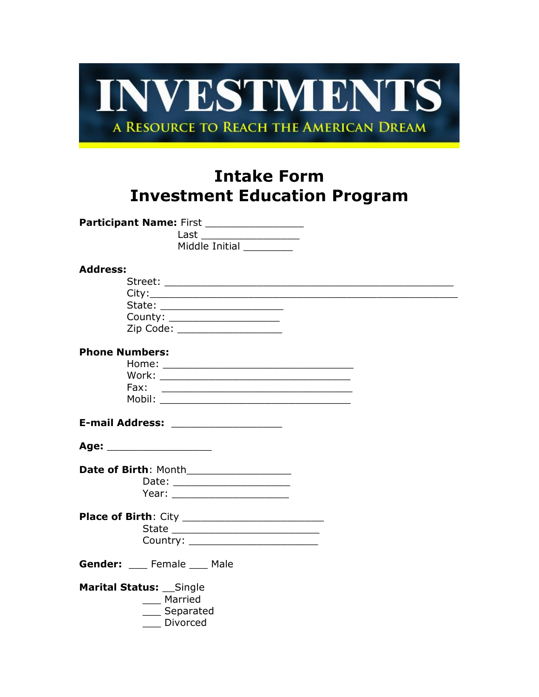

# **Intake Form Investment Education Program**

| Participant Name: First ________________<br>Last ______________________<br>Middle Initial<br><b>Address:</b><br>State: _______________________<br>County: _____________________<br>Zip Code: ____________________<br><b>Phone Numbers:</b><br>Fax:<br><u> 1989 - Johann Stoff, amerikansk politiker (d. 1989)</u><br>Age: ____________________<br>Date of Birth: Month___________________<br>Date: _______________________ |
|----------------------------------------------------------------------------------------------------------------------------------------------------------------------------------------------------------------------------------------------------------------------------------------------------------------------------------------------------------------------------------------------------------------------------|
|                                                                                                                                                                                                                                                                                                                                                                                                                            |
|                                                                                                                                                                                                                                                                                                                                                                                                                            |
|                                                                                                                                                                                                                                                                                                                                                                                                                            |
|                                                                                                                                                                                                                                                                                                                                                                                                                            |
|                                                                                                                                                                                                                                                                                                                                                                                                                            |
|                                                                                                                                                                                                                                                                                                                                                                                                                            |
|                                                                                                                                                                                                                                                                                                                                                                                                                            |
|                                                                                                                                                                                                                                                                                                                                                                                                                            |
|                                                                                                                                                                                                                                                                                                                                                                                                                            |
|                                                                                                                                                                                                                                                                                                                                                                                                                            |
|                                                                                                                                                                                                                                                                                                                                                                                                                            |
|                                                                                                                                                                                                                                                                                                                                                                                                                            |
|                                                                                                                                                                                                                                                                                                                                                                                                                            |
|                                                                                                                                                                                                                                                                                                                                                                                                                            |
|                                                                                                                                                                                                                                                                                                                                                                                                                            |
|                                                                                                                                                                                                                                                                                                                                                                                                                            |
|                                                                                                                                                                                                                                                                                                                                                                                                                            |
|                                                                                                                                                                                                                                                                                                                                                                                                                            |
|                                                                                                                                                                                                                                                                                                                                                                                                                            |
|                                                                                                                                                                                                                                                                                                                                                                                                                            |
| Year: _________________________                                                                                                                                                                                                                                                                                                                                                                                            |
|                                                                                                                                                                                                                                                                                                                                                                                                                            |
|                                                                                                                                                                                                                                                                                                                                                                                                                            |
|                                                                                                                                                                                                                                                                                                                                                                                                                            |
| Country: _________________________                                                                                                                                                                                                                                                                                                                                                                                         |
| Gender: Female Male                                                                                                                                                                                                                                                                                                                                                                                                        |
| Marital Status: __Single                                                                                                                                                                                                                                                                                                                                                                                                   |
| ___ Married                                                                                                                                                                                                                                                                                                                                                                                                                |
| Separated                                                                                                                                                                                                                                                                                                                                                                                                                  |
| Divorced                                                                                                                                                                                                                                                                                                                                                                                                                   |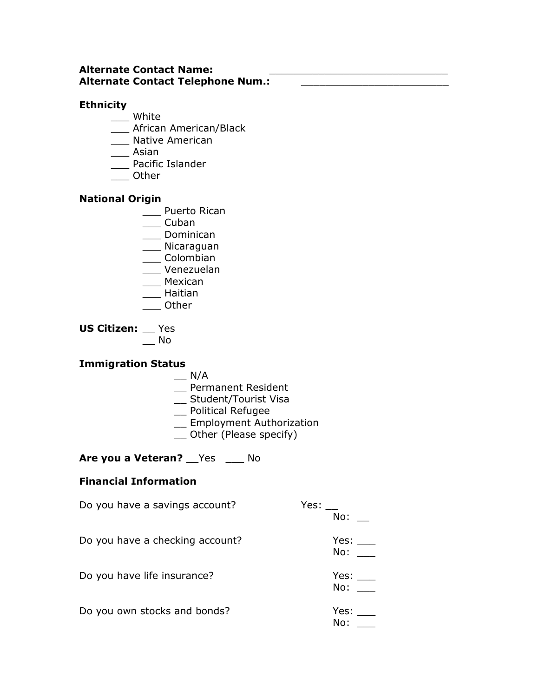#### **Alternate Contact Name: Alternate Contact Telephone Num.:** \_\_\_\_\_\_\_\_\_\_\_\_\_\_\_\_\_\_\_\_\_\_\_\_

## **Ethnicity**

- \_\_\_ White
- \_\_\_ African American/Black
- \_\_\_ Native American
- \_\_\_ Asian
- \_\_\_ Pacific Islander
- \_\_\_ Other

### **National Origin**

- \_\_\_ Puerto Rican
- \_\_\_ Cuban
- \_\_\_ Dominican
- \_\_\_ Nicaraguan
- \_\_\_ Colombian
- \_\_\_ Venezuelan
- \_\_\_ Mexican
- \_\_\_ Haitian
- \_\_\_ Other

**US Citizen:** \_\_ Yes  $\overline{\phantom{0}}$  No

## **Immigration Status**

- $\overline{\phantom{a}}$  N/A
- \_\_ Permanent Resident
- \_\_ Student/Tourist Visa
- \_\_ Political Refugee
- \_\_ Employment Authorization
- \_\_ Other (Please specify)

Are you a Veteran? **Wes** \_\_\_ No

## **Financial Information**

| Do you have a savings account?  | Yes:<br>No: |
|---------------------------------|-------------|
| Do you have a checking account? | Yes:<br>No: |
| Do you have life insurance?     | Yes:<br>No: |
| Do you own stocks and bonds?    | Yes:<br>No: |